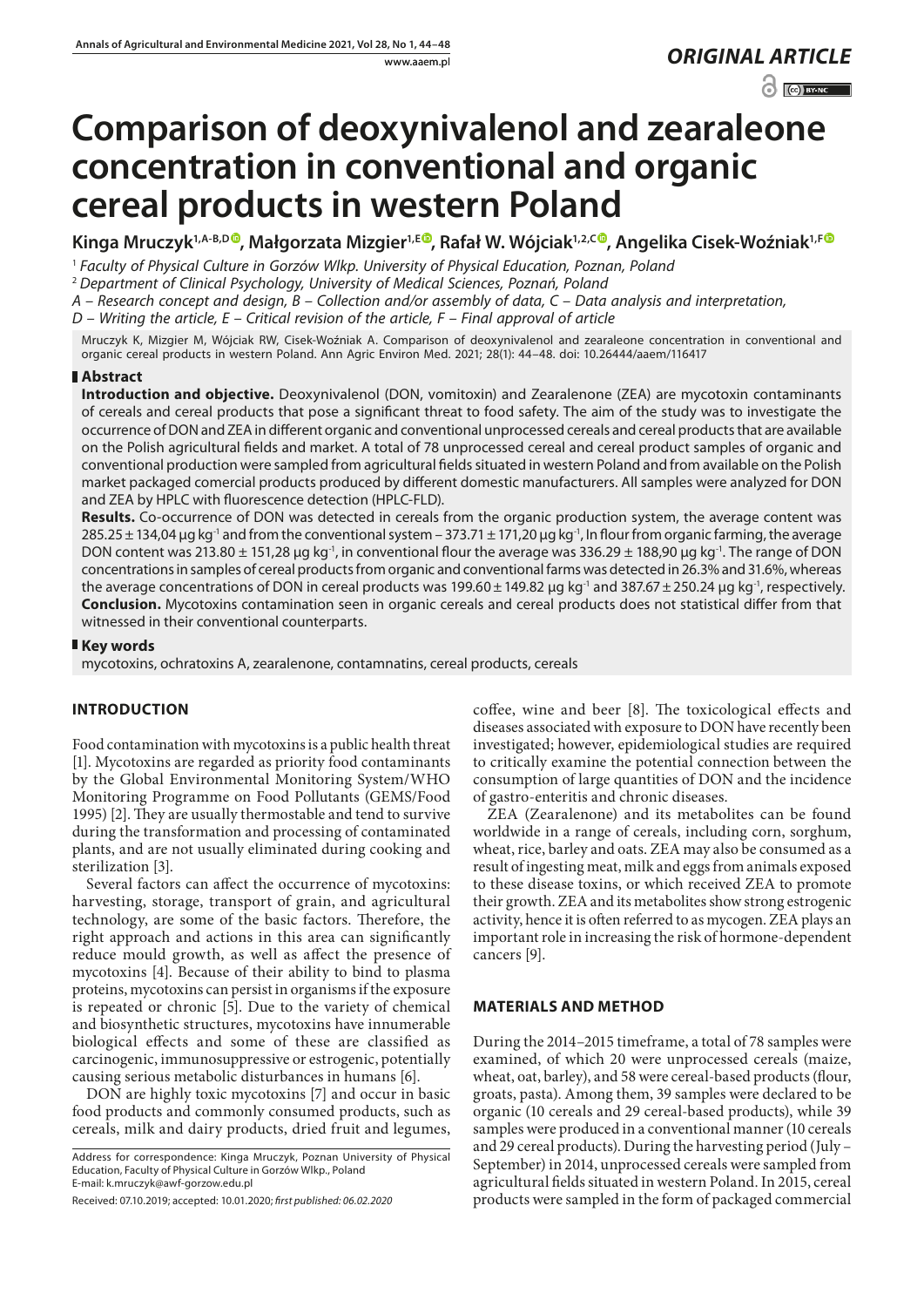www.aaem.pl *ORIGINAL [ARTICLE](https://creativecommons.org/licenses/by-nc/3.0/pl/deed.en)* 

 $\odot$   $\odot$  BY-NC

# **Comparison of deoxynivalenol and zearaleone concentration in conventional and organic cereal products in western Poland**

**Kinga Mruczyk1,A-B,[D](https://orcid.org/0000-0003-3384-8481) , Małgorzata Mizgier1,E , Rafał W. Wójciak1,2,[C](https://orcid.org/0000-0002-6345-1795) , Angelika Cisek-Woźniak1,[F](https://orcid.org/0000-0001-8194-7500)**

<sup>1</sup> *Faculty of Physical Culture in Gorzów Wlkp. University of Physical Education, Poznan, Poland*

<sup>2</sup> *Department of Clinical Psychology, University of Medical Sciences, Poznań, Poland*

*A – Research concept and design, B – Collection and/or assembly of data, C – Data analysis and interpretation,* 

*D – Writing the article, E – Critical revision of the article, F – Final approval of article*

Mruczyk K, Mizgier M, Wójciak RW, Cisek-Woźniak A. Comparison of deoxynivalenol and zearaleone concentration in conventional and organic cereal products in western Poland. Ann Agric Environ Med. 2021; 28(1): 44–48. doi: 10.26444/aaem/116417

## **Abstract**

**Introduction and objective.** Deoxynivalenol (DON, vomitoxin) and Zearalenone (ZEA) are mycotoxin contaminants of cereals and cereal products that pose a significant threat to food safety. The aim of the study was to investigate the occurrence of DON and ZEA in different organic and conventional unprocessed cereals and cereal products that are available on the Polish agricultural fields and market. A total of 78 unprocessed cereal and cereal product samples of organic and conventional production were sampled from agricultural fields situated in western Poland and from available on the Polish market packaged comercial products produced by different domestic manufacturers. All samples were analyzed for DON and ZEA by HPLC with fluorescence detection (HPLC-FLD).

**Results.** Co-occurrence of DON was detected in cereals from the organic production system, the average content was  $285.25 \pm 134.04$  μg kg<sup>-1</sup> and from the conventional system – 373.71  $\pm$  171,20 μg kg<sup>-1</sup>, In flour from organic farming, the average DON content was 213.80  $\pm$  151,28 μg kg<sup>-1</sup>, in conventional flour the average was 336.29  $\pm$  188,90 μg kg<sup>-1</sup>. The range of DON concentrations in samples of cereal products from organic and conventional farms was detected in 26.3% and 31.6%, whereas the average concentrations of DON in cereal products was 199.60 $\pm$ 149.82 μg kg<sup>-1</sup> and 387.67 $\pm$ 250.24 μg kg<sup>-1</sup>, respectively. **Conclusion.** Mycotoxins contamination seen in organic cereals and cereal products does not statistical differ from that witnessed in their conventional counterparts.

## **Key words**

mycotoxins, ochratoxins A, zearalenone, contamnatins, cereal products, cereals

# **INTRODUCTION**

Food contamination with mycotoxins is a public health threat [1]. Mycotoxins are regarded as priority food contaminants by the Global Environmental Monitoring System/WHO Monitoring Programme on Food Pollutants (GEMS/Food 1995) [2]. They are usually thermostable and tend to survive during the transformation and processing of contaminated plants, and are not usually eliminated during cooking and sterilization [3].

Several factors can affect the occurrence of mycotoxins: harvesting, storage, transport of grain, and agricultural technology, are some of the basic factors. Therefore, the right approach and actions in this area can significantly reduce mould growth, as well as affect the presence of mycotoxins [4]. Because of their ability to bind to plasma proteins, mycotoxins can persist in organisms if the exposure is repeated or chronic [5]. Due to the variety of chemical and biosynthetic structures, mycotoxins have innumerable biological effects and some of these are classified as carcinogenic, immunosuppressive or estrogenic, potentially causing serious metabolic disturbances in humans [6].

DON are highly toxic mycotoxins [7] and occur in basic food products and commonly consumed products, such as cereals, milk and dairy products, dried fruit and legumes,

coffee, wine and beer [8]. The toxicological effects and diseases associated with exposure to DON have recently been investigated; however, epidemiological studies are required to critically examine the potential connection between the consumption of large quantities of DON and the incidence of gastro-enteritis and chronic diseases.

ZEA (Zearalenone) and its metabolites can be found worldwide in a range of cereals, including corn, sorghum, wheat, rice, barley and oats. ZEA may also be consumed as a result of ingesting meat, milk and eggs from animals exposed to these disease toxins, or which received ZEA to promote their growth. ZEA and its metabolites show strong estrogenic activity, hence it is often referred to as mycogen. ZEA plays an important role in increasing the risk of hormone-dependent cancers [9].

# **MATERIALS AND METHOD**

During the 2014–2015 timeframe, a total of 78 samples were examined, of which 20 were unprocessed cereals (maize, wheat, oat, barley), and 58 were cereal-based products (flour, groats, pasta). Among them, 39 samples were declared to be organic (10 cereals and 29 cereal-based products), while 39 samples were produced in a conventional manner (10 cereals and 29 cereal products). During the harvesting period (July – September) in 2014, unprocessed cereals were sampled from agricultural fields situated in western Poland. In 2015, cereal products were sampled in the form of packaged commercial

Address for correspondence: Kinga Mruczyk, Poznan University of Physical Education, Faculty of Physical Culture in Gorzów Wlkp., Poland E-mail: k.mruczyk@awf-gorzow.edu.pl

Received: 07.10.2019; accepted: 10.01.2020; *first published: 06.02.2020*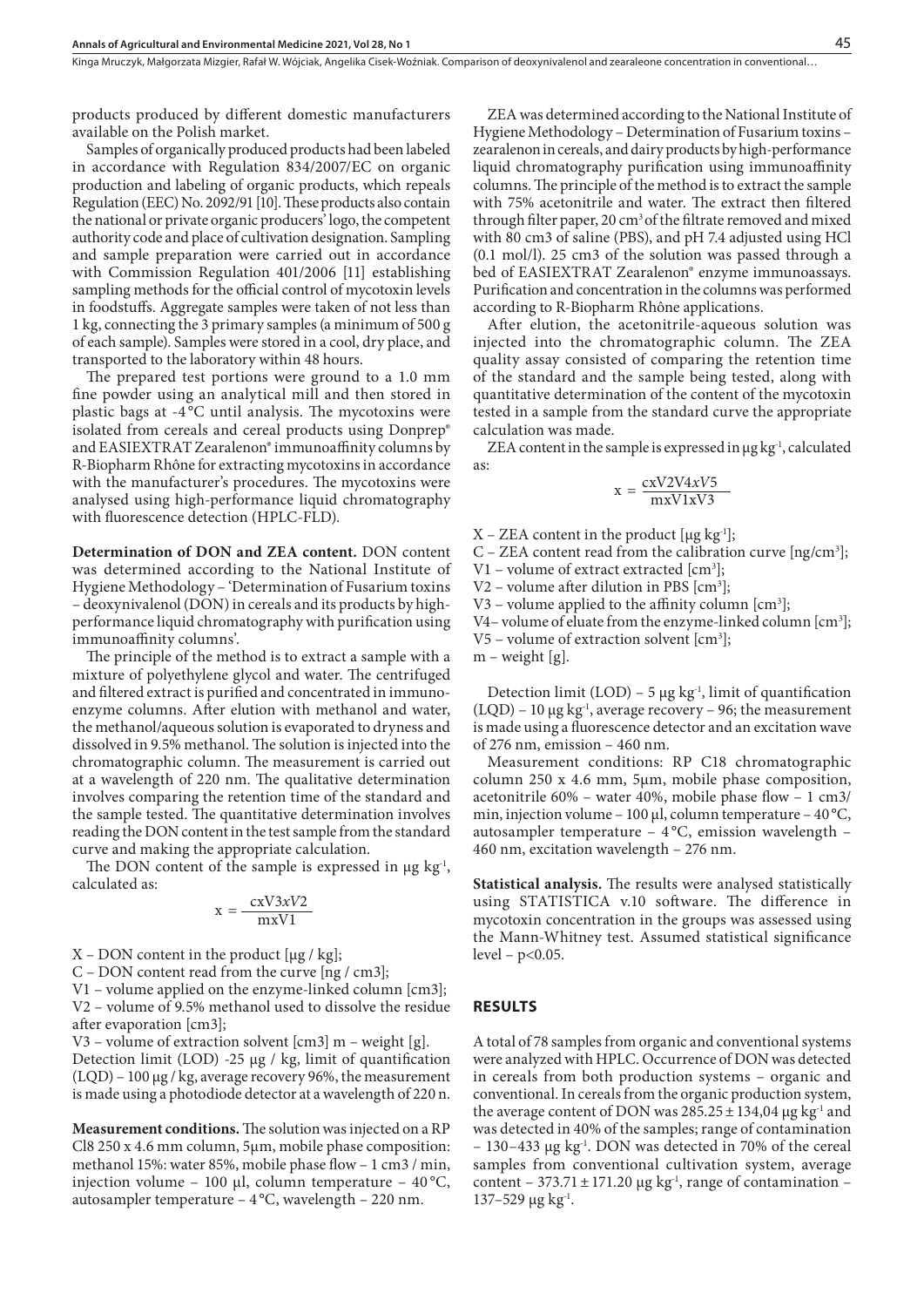Kinga Mruczyk, Małgorzata Mizgier, Rafał W. Wójciak, Angelika Cisek-Woźniak . Comparison of deoxynivalenol and zearaleone concentration in conventional…

products produced by different domestic manufacturers available on the Polish market.

Samples of organically produced products had been labeled in accordance with Regulation 834/2007/EC on organic production and labeling of organic products, which repeals Regulation (EEC) No. 2092/91 [10]. These products also contain the national or private organic producers' logo, the competent authority code and place of cultivation designation. Sampling and sample preparation were carried out in accordance with Commission Regulation 401/2006 [11] establishing sampling methods for the official control of mycotoxin levels in foodstuffs. Aggregate samples were taken of not less than 1 kg, connecting the 3 primary samples (a minimum of 500 g of each sample). Samples were stored in a cool, dry place, and transported to the laboratory within 48 hours.

The prepared test portions were ground to a 1.0 mm fine powder using an analytical mill and then stored in plastic bags at -4 °C until analysis. The mycotoxins were isolated from cereals and cereal products using Donprep® and EASIEXTRAT Zearalenon® immunoaffinity columns by R-Biopharm Rhône for extracting mycotoxins in accordance with the manufacturer's procedures. The mycotoxins were analysed using high-performance liquid chromatography with fluorescence detection (HPLC-FLD).

**Determination of DON and ZEA content.** DON content was determined according to the National Institute of Hygiene Methodology – 'Determination of Fusarium toxins – deoxynivalenol (DON) in cereals and its products by highperformance liquid chromatography with purification using immunoaffinity columns'.

The principle of the method is to extract a sample with a mixture of polyethylene glycol and water. The centrifuged and filtered extract is purified and concentrated in immunoenzyme columns. After elution with methanol and water, the methanol/aqueous solution is evaporated to dryness and dissolved in 9.5% methanol. The solution is injected into the chromatographic column. The measurement is carried out at a wavelength of 220 nm. The qualitative determination involves comparing the retention time of the standard and the sample tested. The quantitative determination involves reading the DON content in the test sample from the standard curve and making the appropriate calculation.

The DON content of the sample is expressed in  $\mu$ g kg<sup>-1</sup>, calculated as:

$$
x = \frac{cxV3xV2}{mxV1}
$$

 $X$  – DON content in the product [ $\mu$ g / kg];

C – DON content read from the curve [ng / cm3];

V1 – volume applied on the enzyme-linked column [cm3]; V2 – volume of 9.5% methanol used to dissolve the residue

after evaporation [cm3]; V3 – volume of extraction solvent  $[cm3]$  m – weight  $[g]$ . Detection limit (LOD) -25 μg / kg, limit of quantification (LQD) – 100 μg / kg, average recovery 96%, the measurement is made using a photodiode detector at a wavelength of 220 n.

**Measurement conditions.** The solution was injected on a RP Cl8 250 x 4.6 mm column, 5μm, mobile phase composition: methanol 15%: water 85%, mobile phase flow – 1 cm3 / min, injection volume – 100 μl, column temperature – 40 °C, autosampler temperature – 4 °C, wavelength – 220 nm.

ZEA was determined according to the National Institute of Hygiene Methodology – Determination of Fusarium toxins – zearalenon in cereals, and dairy products by high-performance liquid chromatography purification using immunoaffinity columns. The principle of the method is to extract the sample with 75% acetonitrile and water. The extract then filtered through filter paper, 20  $cm<sup>3</sup>$  of the filtrate removed and mixed with 80 cm3 of saline (PBS), and pH 7.4 adjusted using HCl (0.1 mol/l). 25 cm3 of the solution was passed through a bed of EASIEXTRAT Zearalenon® enzyme immunoassays. Purification and concentration in the columns was performed according to R-Biopharm Rhône applications.

After elution, the acetonitrile-aqueous solution was injected into the chromatographic column. The ZEA quality assay consisted of comparing the retention time of the standard and the sample being tested, along with quantitative determination of the content of the mycotoxin tested in a sample from the standard curve the appropriate calculation was made.

ZEA content in the sample is expressed in  $\mu$ g kg<sup>-1</sup>, calculated as:

$$
x = \frac{cxV2V4xV5}{mxV1xV3}
$$

 $X$  – ZEA content in the product [ $\mu$ g kg<sup>-1</sup>];

 $C$  – ZEA content read from the calibration curve [ng/cm<sup>3</sup>];

V1 – volume of extract extracted [cm3 ];

 $V2$  – volume after dilution in PBS  $[cm<sup>3</sup>]$ ;

V3 – volume applied to the affinity column  $[cm^3]$ ;

V4 – volume of eluate from the enzyme-linked column [cm<sup>3</sup>];

 $V5$  – volume of extraction solvent  $[cm<sup>3</sup>]$ ;

 $m$  – weight [g].

Detection limit  $(LOD)$  – 5 μg kg<sup>-1</sup>, limit of quantification  $(LQD)$  – 10  $\mu$ g kg<sup>-1</sup>, average recovery – 96; the measurement is made using a fluorescence detector and an excitation wave of 276 nm, emission – 460 nm.

Measurement conditions: RP C18 chromatographic column 250 x 4.6 mm, 5μm, mobile phase composition, acetonitrile 60% – water 40%, mobile phase flow – 1 cm3/ min, injection volume – 100 μl, column temperature – 40°C, autosampler temperature – 4 °C, emission wavelength – 460 nm, excitation wavelength – 276 nm.

**Statistical analysis.** The results were analysed statistically using STATISTICA v.10 software. The difference in mycotoxin concentration in the groups was assessed using the Mann-Whitney test. Assumed statistical significance  $level - p < 0.05$ .

#### **RESULTS**

A total of 78 samples from organic and conventional systems were analyzed with HPLC. Occurrence of DON was detected in cereals from both production systems – organic and conventional. In cereals from the organic production system, the average content of DON was  $285.25 \pm 134.04$  μg kg<sup>-1</sup> and was detected in 40% of the samples; range of contamination – 130–433 μg kg<sup>-1</sup>. DON was detected in 70% of the cereal samples from conventional cultivation system, average content – 373.71 ± 171.20  $\mu$ g kg<sup>-1</sup>, range of contamination –  $137-529$  μg kg<sup>-1</sup>.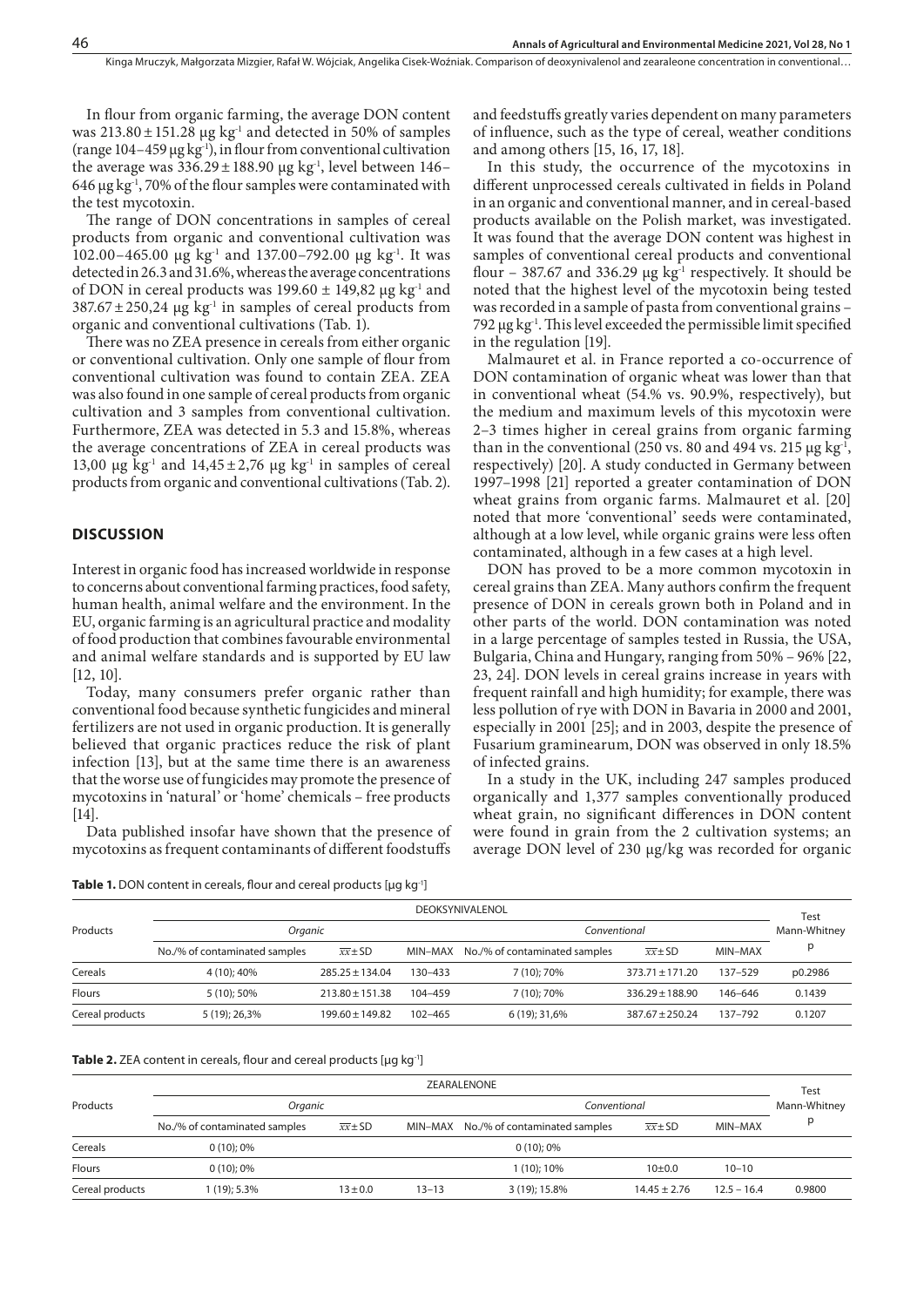and feedstuffs greatly varies dependent on many parameters of influence, such as the type of cereal, weather conditions

In this study, the occurrence of the mycotoxins in different unprocessed cereals cultivated in fields in Poland

In flour from organic farming, the average DON content was  $213.80 \pm 151.28$  μg kg<sup>-1</sup> and detected in 50% of samples (range  $104-459 \mu g kg^{-1}$ ), in flour from conventional cultivation the average was  $336.29 \pm 188.90$  µg kg<sup>-1</sup>, level between 146– 646  $\mu$ g kg<sup>-1</sup>, 70% of the flour samples were contaminated with the test mycotoxin.

The range of DON concentrations in samples of cereal products from organic and conventional cultivation was 102.00–465.00 μg kg<sup>-1</sup> and 137.00–792.00 μg kg<sup>-1</sup>. It was detected in 26.3 and 31.6%, whereas the average concentrations of DON in cereal products was  $199.60 \pm 149.82$  µg kg<sup>-1</sup> and  $387.67 \pm 250.24$  µg kg<sup>-1</sup> in samples of cereal products from organic and conventional cultivations (Tab. 1).

There was no ZEA presence in cereals from either organic or conventional cultivation. Only one sample of flour from conventional cultivation was found to contain ZEA. ZEA was also found in one sample of cereal products from organic cultivation and 3 samples from conventional cultivation. Furthermore, ZEA was detected in 5.3 and 15.8%, whereas the average concentrations of ZEA in cereal products was 13,00 μg kg<sup>-1</sup> and  $14,45\pm2,76$  μg kg<sup>-1</sup> in samples of cereal products from organic and conventional cultivations (Tab. 2).

## **DISCUSSION**

Interest in organic food has increased worldwide in response to concerns about conventional farming practices, food safety, human health, animal welfare and the environment. In the EU, organic farming is an agricultural practice and modality of food production that combines favourable environmental and animal welfare standards and is supported by EU law [12, 10].

Today, many consumers prefer organic rather than conventional food because synthetic fungicides and mineral fertilizers are not used in organic production. It is generally believed that organic practices reduce the risk of plant infection [13], but at the same time there is an awareness that the worse use of fungicides may promote the presence of mycotoxins in 'natural' or 'home' chemicals – free products [14].

Data published insofar have shown that the presence of mycotoxins as frequent contaminants of different foodstuffs

in an organic and conventional manner, and in cereal-based products available on the Polish market, was investigated.

and among others [15, 16, 17, 18].

It was found that the average DON content was highest in samples of conventional cereal products and conventional flour – 387.67 and 336.29  $\mu$ g kg<sup>-1</sup> respectively. It should be noted that the highest level of the mycotoxin being tested was recorded in a sample of pasta from conventional grains – 792 μg kg<sup>-1</sup>. This level exceeded the permissible limit specified in the regulation [19].

Malmauret et al. in France reported a co-occurrence of DON contamination of organic wheat was lower than that in conventional wheat (54.% vs. 90.9%, respectively), but the medium and maximum levels of this mycotoxin were 2–3 times higher in cereal grains from organic farming than in the conventional (250 vs. 80 and 494 vs. 215  $\mu$ g kg<sup>-1</sup>, respectively) [20]. A study conducted in Germany between 1997–1998 [21] reported a greater contamination of DON wheat grains from organic farms. Malmauret et al. [20] noted that more 'conventional' seeds were contaminated, although at a low level, while organic grains were less often contaminated, although in a few cases at a high level.

DON has proved to be a more common mycotoxin in cereal grains than ZEA. Many authors confirm the frequent presence of DON in cereals grown both in Poland and in other parts of the world. DON contamination was noted in a large percentage of samples tested in Russia, the USA, Bulgaria, China and Hungary, ranging from 50% – 96% [22, 23, 24]. DON levels in cereal grains increase in years with frequent rainfall and high humidity; for example, there was less pollution of rye with DON in Bavaria in 2000 and 2001, especially in 2001 [25]; and in 2003, despite the presence of Fusarium graminearum, DON was observed in only 18.5% of infected grains.

In a study in the UK, including 247 samples produced organically and 1,377 samples conventionally produced wheat grain, no significant differences in DON content were found in grain from the 2 cultivation systems; an average DON level of 230 μg/kg was recorded for organic

| Table 1. DON content in cereals, flour and cereal products [µg kg <sup>-1</sup> ] |  |  |  |  |  |
|-----------------------------------------------------------------------------------|--|--|--|--|--|
|-----------------------------------------------------------------------------------|--|--|--|--|--|

| Test<br>Mann-Whitney |         |
|----------------------|---------|
|                      | p0.2986 |
|                      | 0.1439  |
| 0.1207               |         |
|                      |         |

|                 | ZEARALENONE                   |                      |           |                                       |                      |               |                      |  |
|-----------------|-------------------------------|----------------------|-----------|---------------------------------------|----------------------|---------------|----------------------|--|
| Products        | Organic                       |                      |           | Conventional                          |                      |               | Test<br>Mann-Whitney |  |
|                 | No./% of contaminated samples | $\overline{xx}$ ± SD |           | MIN-MAX No./% of contaminated samples | $\overline{xx}$ ± SD | MIN-MAX       |                      |  |
| Cereals         | $0(10)$ ; 0%                  |                      |           | $0(10):0\%$                           |                      |               |                      |  |
| <b>Flours</b>   | $0(10)$ ; 0%                  |                      |           | 1 (10): 10%                           | 10±0.0               | $10 - 10$     |                      |  |
| Cereal products | 1 (19); 5.3%                  | $13 \pm 0.0$         | $13 - 13$ | 3 (19); 15.8%                         | $14.45 \pm 2.76$     | $12.5 - 16.4$ | 0.9800               |  |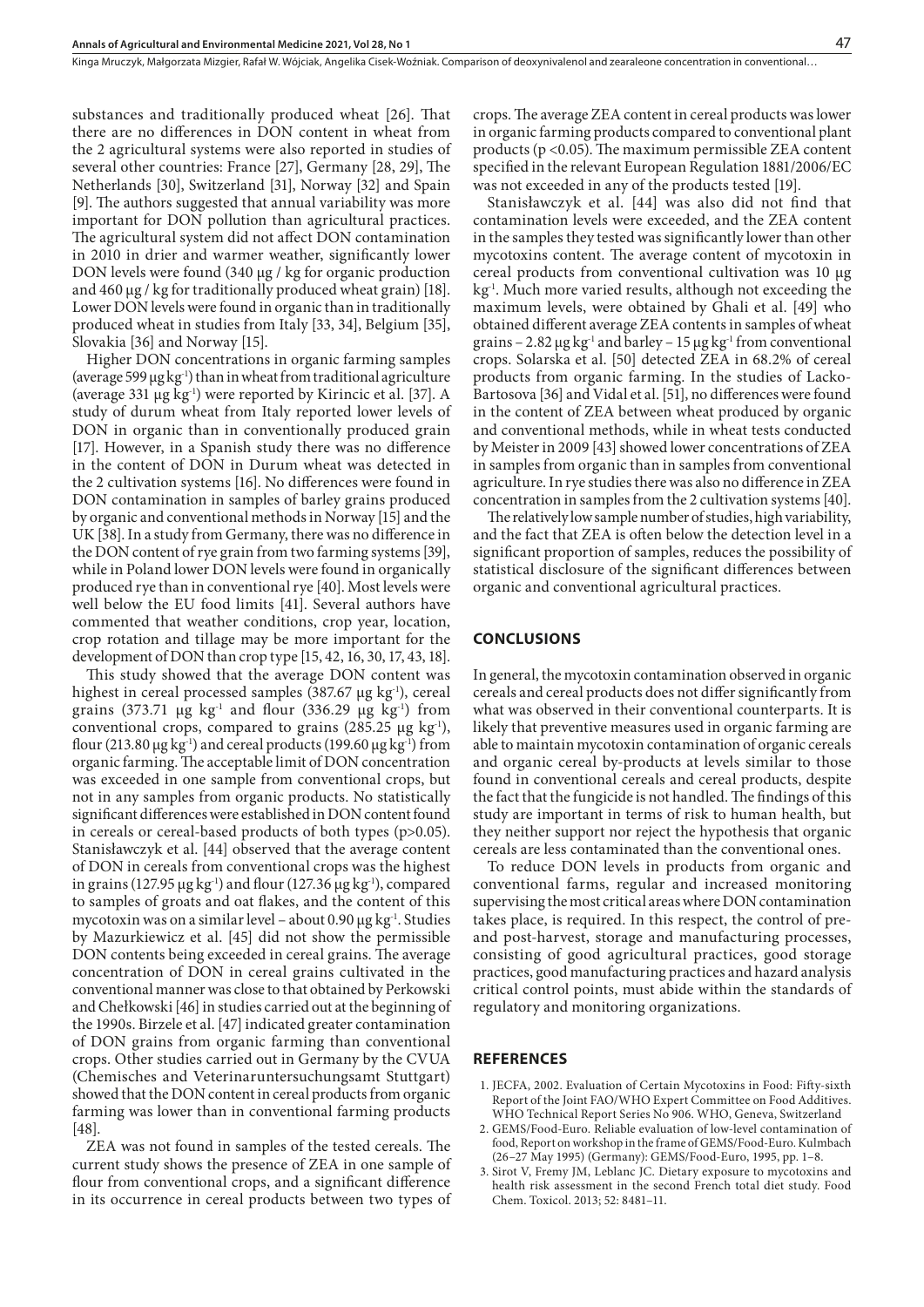substances and traditionally produced wheat [26]. That there are no differences in DON content in wheat from the 2 agricultural systems were also reported in studies of several other countries: France [27], Germany [28, 29], The Netherlands [30], Switzerland [31], Norway [32] and Spain [9]. The authors suggested that annual variability was more important for DON pollution than agricultural practices. The agricultural system did not affect DON contamination in 2010 in drier and warmer weather, significantly lower DON levels were found (340 μg / kg for organic production and 460 μg / kg for traditionally produced wheat grain) [18]. Lower DON levels were found in organic than in traditionally produced wheat in studies from Italy [33, 34], Belgium [35], Slovakia [36] and Norway [15].

Higher DON concentrations in organic farming samples (average 599  $\mu$ g kg<sup>-1</sup>) than in wheat from traditional agriculture (average 331  $\mu$ g kg<sup>-1</sup>) were reported by Kirincic et al. [37]. A study of durum wheat from Italy reported lower levels of DON in organic than in conventionally produced grain [17]. However, in a Spanish study there was no difference in the content of DON in Durum wheat was detected in the 2 cultivation systems [16]. No differences were found in DON contamination in samples of barley grains produced by organic and conventional methods in Norway [15] and the UK [38]. In a study from Germany, there was no difference in the DON content of rye grain from two farming systems [39], while in Poland lower DON levels were found in organically produced rye than in conventional rye [40]. Most levels were well below the EU food limits [41]. Several authors have commented that weather conditions, crop year, location, crop rotation and tillage may be more important for the development of DON than crop type [15, 42, 16, 30, 17, 43, 18].

This study showed that the average DON content was highest in cereal processed samples (387.67 μg kg<sup>-1</sup>), cereal grains (373.71 μg kg<sup>-1</sup> and flour (336.29 μg kg<sup>-1</sup>) from conventional crops, compared to grains  $(285.25 \mu g \text{ kg}^{-1})$ , flour (213.80  $\mu$ g kg<sup>-1</sup>) and cereal products (199.60  $\mu$ g kg<sup>-1</sup>) from organic farming. The acceptable limit of DON concentration was exceeded in one sample from conventional crops, but not in any samples from organic products. No statistically significant differences were established in DON content found in cereals or cereal-based products of both types (p>0.05). Stanisławczyk et al. [44] observed that the average content of DON in cereals from conventional crops was the highest in grains (127.95  $\mu$ g kg<sup>-1</sup>) and flour (127.36  $\mu$ g kg<sup>-1</sup>), compared to samples of groats and oat flakes, and the content of this mycotoxin was on a similar level – about 0.90 μg kg<sup>-1</sup>. Studies by Mazurkiewicz et al. [45] did not show the permissible DON contents being exceeded in cereal grains. The average concentration of DON in cereal grains cultivated in the conventional manner was close to that obtained by Perkowski and Chełkowski [46] in studies carried out at the beginning of the 1990s. Birzele et al. [47] indicated greater contamination of DON grains from organic farming than conventional crops. Other studies carried out in Germany by the CVUA (Chemisches and Veterinaruntersuchungsamt Stuttgart) showed that the DON content in cereal products from organic farming was lower than in conventional farming products [48].

ZEA was not found in samples of the tested cereals. The current study shows the presence of ZEA in one sample of flour from conventional crops, and a significant difference in its occurrence in cereal products between two types of

crops. The average ZEA content in cereal products was lower in organic farming products compared to conventional plant products (p <0.05). The maximum permissible ZEA content specified in the relevant European Regulation 1881/2006/EC was not exceeded in any of the products tested [19].

Stanisławczyk et al. [44] was also did not find that contamination levels were exceeded, and the ZEA content in the samples they tested was significantly lower than other mycotoxins content. The average content of mycotoxin in cereal products from conventional cultivation was 10 μg kg-1. Much more varied results, although not exceeding the maximum levels, were obtained by Ghali et al. [49] who obtained different average ZEA contents in samples of wheat grains – 2.82  $\mu$ g kg<sup>-1</sup> and barley – 15  $\mu$ g kg<sup>-1</sup> from conventional crops. Solarska et al. [50] detected ZEA in 68.2% of cereal products from organic farming. In the studies of Lacko-Bartosova [36] and Vidal et al. [51], no differences were found in the content of ZEA between wheat produced by organic and conventional methods, while in wheat tests conducted by Meister in 2009 [43] showed lower concentrations of ZEA in samples from organic than in samples from conventional agriculture. In rye studies there was also no difference in ZEA concentration in samples from the 2 cultivation systems [40].

The relatively low sample number of studies, high variability, and the fact that ZEA is often below the detection level in a significant proportion of samples, reduces the possibility of statistical disclosure of the significant differences between organic and conventional agricultural practices.

#### **CONCLUSIONS**

In general, the mycotoxin contamination observed in organic cereals and cereal products does not differ significantly from what was observed in their conventional counterparts. It is likely that preventive measures used in organic farming are able to maintain mycotoxin contamination of organic cereals and organic cereal by-products at levels similar to those found in conventional cereals and cereal products, despite the fact that the fungicide is not handled. The findings of this study are important in terms of risk to human health, but they neither support nor reject the hypothesis that organic cereals are less contaminated than the conventional ones.

To reduce DON levels in products from organic and conventional farms, regular and increased monitoring supervising the most critical areas where DON contamination takes place, is required. In this respect, the control of preand post-harvest, storage and manufacturing processes, consisting of good agricultural practices, good storage practices, good manufacturing practices and hazard analysis critical control points, must abide within the standards of regulatory and monitoring organizations.

## **REFERENCES**

- 1. JECFA, 2002. Evaluation of Certain Mycotoxins in Food: Fifty-sixth Report of the Joint FAO/WHO Expert Committee on Food Additives. WHO Technical Report Series No 906. WHO, Geneva, Switzerland
- 2. GEMS/Food-Euro. Reliable evaluation of low-level contamination of food, Report on workshop in the frame of GEMS/Food-Euro. Kulmbach (26–27 May 1995) (Germany): GEMS/Food-Euro, 1995, pp. 1–8.
- 3. Sirot V, Fremy JM, Leblanc JC. Dietary exposure to mycotoxins and health risk assessment in the second French total diet study. Food Chem. Toxicol. 2013; 52: 8481–11.